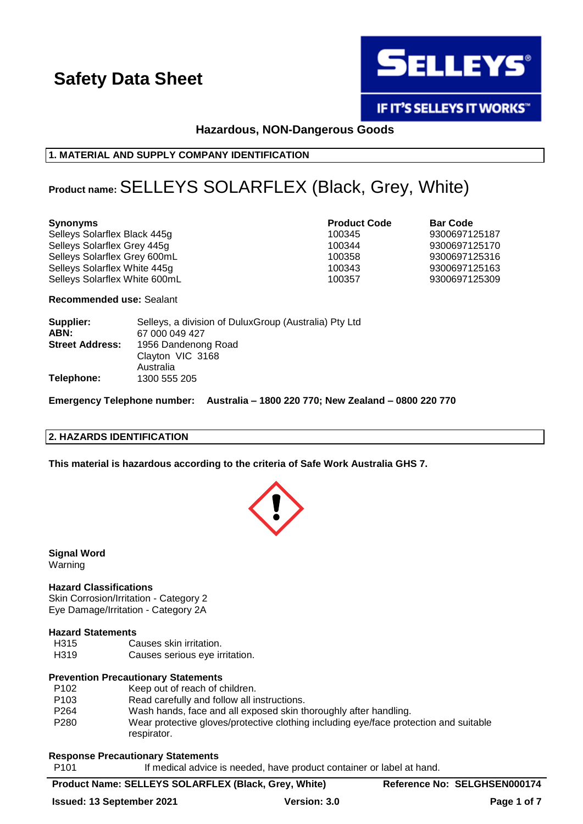

**IF IT'S SELLEYS IT WORKS"** 

# **Hazardous, NON-Dangerous Goods**

## **1. MATERIAL AND SUPPLY COMPANY IDENTIFICATION**

# **Product name:**SELLEYS SOLARFLEX (Black, Grey, White)

| <b>Synonyms</b>               | <b>Product Code</b> | <b>Bar Code</b> |
|-------------------------------|---------------------|-----------------|
| Selleys Solarflex Black 445g  | 100345              | 9300697125187   |
| Selleys Solarflex Grey 445g   | 100344              | 9300697125170   |
| Selleys Solarflex Grey 600mL  | 100358              | 9300697125316   |
| Selleys Solarflex White 445g  | 100343              | 9300697125163   |
| Selleys Solarflex White 600mL | 100357              | 9300697125309   |
|                               |                     |                 |

**Recommended use:** Sealant

| Supplier:              | Selleys, a division of DuluxGroup (Australia) Pty Ltd |
|------------------------|-------------------------------------------------------|
| ABN:                   | 67 000 049 427                                        |
| <b>Street Address:</b> | 1956 Dandenong Road                                   |
|                        | Clayton VIC 3168                                      |
|                        | Australia                                             |
| Telephone:             | 1300 555 205                                          |

**Emergency Telephone number: Australia – 1800 220 770; New Zealand – 0800 220 770**

### **2. HAZARDS IDENTIFICATION**

**This material is hazardous according to the criteria of Safe Work Australia GHS 7.**



**Signal Word** Warning

#### **Hazard Classifications**

Skin Corrosion/Irritation - Category 2 Eye Damage/Irritation - Category 2A

#### **Hazard Statements**

- H315 Causes skin irritation.
- H319 Causes serious eye irritation.

#### **Prevention Precautionary Statements**

P102 Keep out of reach of children. P103 Read carefully and follow all instructions. P264 Wash hands, face and all exposed skin thoroughly after handling. P280 Wear protective gloves/protective clothing including eye/face protection and suitable respirator.

#### **Response Precautionary Statements**

P101 If medical advice is needed, have product container or label at hand.

## **Product Name: SELLEYS SOLARFLEX (Black, Grey, White) Reference No: SELGHSEN000174**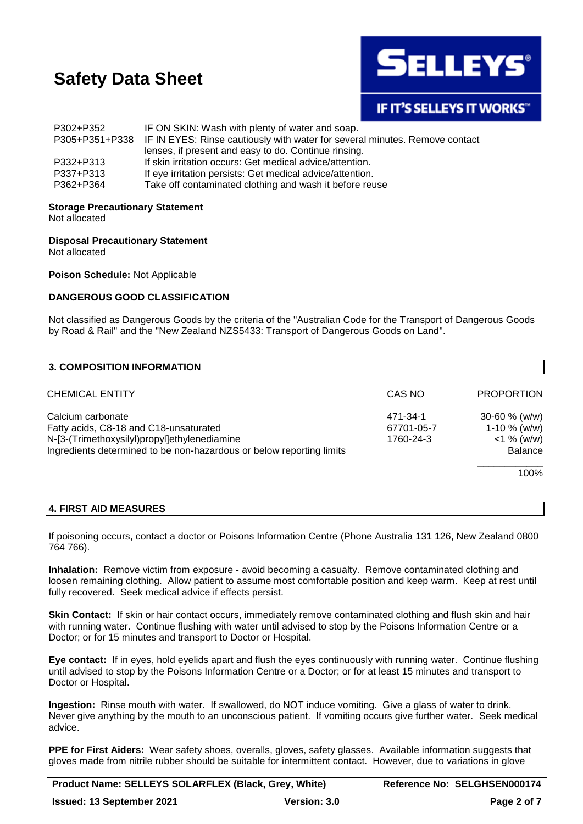

# **IF IT'S SELLEYS IT WORKS"**

| P302+P352 | IF ON SKIN: Wash with plenty of water and soap.                                            |
|-----------|--------------------------------------------------------------------------------------------|
|           | P305+P351+P338 IF IN EYES: Rinse cautiously with water for several minutes. Remove contact |
|           | lenses, if present and easy to do. Continue rinsing.                                       |
| P332+P313 | If skin irritation occurs: Get medical advice/attention.                                   |
| P337+P313 | If eye irritation persists: Get medical advice/attention.                                  |
| P362+P364 | Take off contaminated clothing and wash it before reuse                                    |

#### **Storage Precautionary Statement**

Not allocated

**Disposal Precautionary Statement** Not allocated

**Poison Schedule:** Not Applicable

### **DANGEROUS GOOD CLASSIFICATION**

Not classified as Dangerous Goods by the criteria of the "Australian Code for the Transport of Dangerous Goods by Road & Rail" and the "New Zealand NZS5433: Transport of Dangerous Goods on Land".

| CAS NO                                                                                                               | <b>PROPORTION</b> |
|----------------------------------------------------------------------------------------------------------------------|-------------------|
| 471-34-1                                                                                                             | $30 - 60$ % (w/w) |
| 67701-05-7                                                                                                           | $1-10 \%$ (w/w)   |
| 1760-24-3                                                                                                            | $<$ 1 % (w/w)     |
| N-[3-(Trimethoxysilyl)propyl]ethylenediamine<br>Ingredients determined to be non-hazardous or below reporting limits |                   |
|                                                                                                                      | 100%              |
|                                                                                                                      |                   |

### **4. FIRST AID MEASURES**

If poisoning occurs, contact a doctor or Poisons Information Centre (Phone Australia 131 126, New Zealand 0800 764 766).

**Inhalation:** Remove victim from exposure - avoid becoming a casualty. Remove contaminated clothing and loosen remaining clothing. Allow patient to assume most comfortable position and keep warm. Keep at rest until fully recovered. Seek medical advice if effects persist.

**Skin Contact:** If skin or hair contact occurs, immediately remove contaminated clothing and flush skin and hair with running water. Continue flushing with water until advised to stop by the Poisons Information Centre or a Doctor; or for 15 minutes and transport to Doctor or Hospital.

**Eye contact:** If in eyes, hold eyelids apart and flush the eyes continuously with running water. Continue flushing until advised to stop by the Poisons Information Centre or a Doctor; or for at least 15 minutes and transport to Doctor or Hospital.

**Ingestion:** Rinse mouth with water. If swallowed, do NOT induce vomiting. Give a glass of water to drink. Never give anything by the mouth to an unconscious patient. If vomiting occurs give further water. Seek medical advice.

**PPE for First Aiders:** Wear safety shoes, overalls, gloves, safety glasses. Available information suggests that gloves made from nitrile rubber should be suitable for intermittent contact. However, due to variations in glove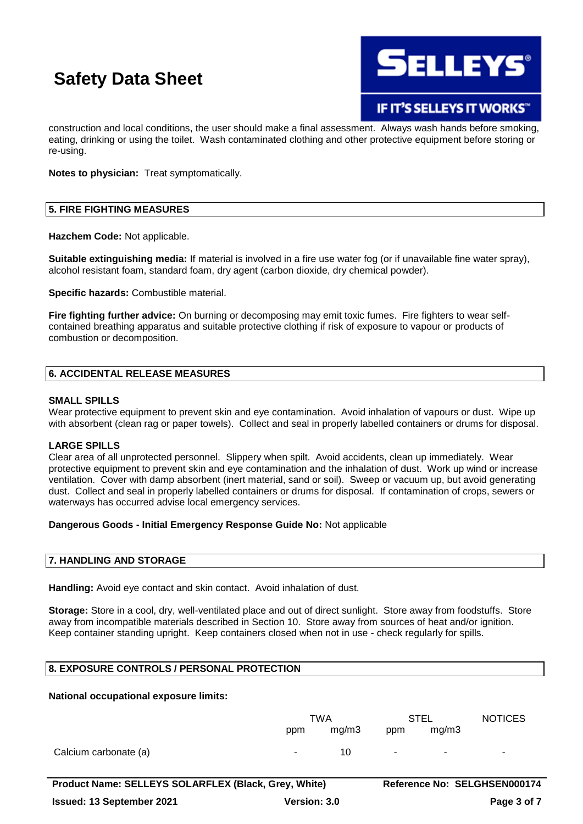

**IF IT'S SELLEYS IT WORKS** 

construction and local conditions, the user should make a final assessment. Always wash hands before smoking, eating, drinking or using the toilet. Wash contaminated clothing and other protective equipment before storing or re-using.

**Notes to physician:** Treat symptomatically.

## **5. FIRE FIGHTING MEASURES**

**Hazchem Code:** Not applicable.

**Suitable extinguishing media:** If material is involved in a fire use water fog (or if unavailable fine water spray), alcohol resistant foam, standard foam, dry agent (carbon dioxide, dry chemical powder).

**Specific hazards:** Combustible material.

**Fire fighting further advice:** On burning or decomposing may emit toxic fumes. Fire fighters to wear selfcontained breathing apparatus and suitable protective clothing if risk of exposure to vapour or products of combustion or decomposition.

#### **6. ACCIDENTAL RELEASE MEASURES**

#### **SMALL SPILLS**

Wear protective equipment to prevent skin and eye contamination. Avoid inhalation of vapours or dust. Wipe up with absorbent (clean rag or paper towels). Collect and seal in properly labelled containers or drums for disposal.

#### **LARGE SPILLS**

Clear area of all unprotected personnel. Slippery when spilt. Avoid accidents, clean up immediately. Wear protective equipment to prevent skin and eye contamination and the inhalation of dust. Work up wind or increase ventilation. Cover with damp absorbent (inert material, sand or soil). Sweep or vacuum up, but avoid generating dust. Collect and seal in properly labelled containers or drums for disposal. If contamination of crops, sewers or waterways has occurred advise local emergency services.

#### **Dangerous Goods - Initial Emergency Response Guide No:** Not applicable

#### **7. HANDLING AND STORAGE**

**Handling:** Avoid eye contact and skin contact. Avoid inhalation of dust.

**Storage:** Store in a cool, dry, well-ventilated place and out of direct sunlight. Store away from foodstuffs. Store away from incompatible materials described in Section 10. Store away from sources of heat and/or ignition. Keep container standing upright. Keep containers closed when not in use - check regularly for spills.

## **8. EXPOSURE CONTROLS / PERSONAL PROTECTION**

### **National occupational exposure limits:**

|                       | TWA    |       | <b>STEL</b> |        | <b>NOTICES</b> |
|-----------------------|--------|-------|-------------|--------|----------------|
|                       | ppm    | mg/m3 | ppm         | mg/m3  |                |
| Calcium carbonate (a) | $\sim$ | 10    | $\sim$      | $\sim$ | $\sim$         |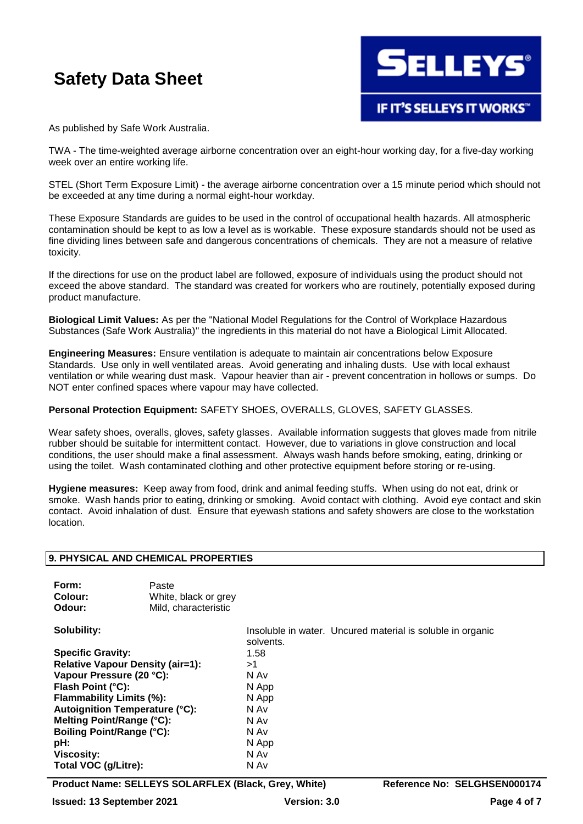

As published by Safe Work Australia.

TWA - The time-weighted average airborne concentration over an eight-hour working day, for a five-day working week over an entire working life.

STEL (Short Term Exposure Limit) - the average airborne concentration over a 15 minute period which should not be exceeded at any time during a normal eight-hour workday.

These Exposure Standards are guides to be used in the control of occupational health hazards. All atmospheric contamination should be kept to as low a level as is workable. These exposure standards should not be used as fine dividing lines between safe and dangerous concentrations of chemicals. They are not a measure of relative toxicity.

If the directions for use on the product label are followed, exposure of individuals using the product should not exceed the above standard. The standard was created for workers who are routinely, potentially exposed during product manufacture.

**Biological Limit Values:** As per the "National Model Regulations for the Control of Workplace Hazardous Substances (Safe Work Australia)" the ingredients in this material do not have a Biological Limit Allocated.

**Engineering Measures:** Ensure ventilation is adequate to maintain air concentrations below Exposure Standards. Use only in well ventilated areas. Avoid generating and inhaling dusts. Use with local exhaust ventilation or while wearing dust mask. Vapour heavier than air - prevent concentration in hollows or sumps. Do NOT enter confined spaces where vapour may have collected.

#### **Personal Protection Equipment:** SAFETY SHOES, OVERALLS, GLOVES, SAFETY GLASSES.

Wear safety shoes, overalls, gloves, safety glasses. Available information suggests that gloves made from nitrile rubber should be suitable for intermittent contact. However, due to variations in glove construction and local conditions, the user should make a final assessment. Always wash hands before smoking, eating, drinking or using the toilet. Wash contaminated clothing and other protective equipment before storing or re-using.

**Hygiene measures:** Keep away from food, drink and animal feeding stuffs. When using do not eat, drink or smoke. Wash hands prior to eating, drinking or smoking. Avoid contact with clothing. Avoid eye contact and skin contact. Avoid inhalation of dust. Ensure that eyewash stations and safety showers are close to the workstation location.

#### **9. PHYSICAL AND CHEMICAL PROPERTIES**

| Form:   | Paste                |
|---------|----------------------|
| Colour: | White, black or grey |
| Odour:  | Mild, characteristic |

**Specific Gravity:** 1.58 **Relative Vapour Density (air=1):** >1 **Vapour Pressure (20 °C):** N Av **Flash Point (°C):** N App **Flammability Limits (%):** N App **Autoignition Temperature (°C):** N Av **Melting Point/Range (°C):** N Av **Boiling Point/Range (°C):** N Av pH: N App **Viscosity:** N Av **Total VOC (g/Litre):** N Av

**Solubility:** Insoluble in water. Uncured material is soluble in organic solvents.

**Product Name: SELLEYS SOLARFLEX (Black, Grey, White) Reference No: SELGHSEN000174**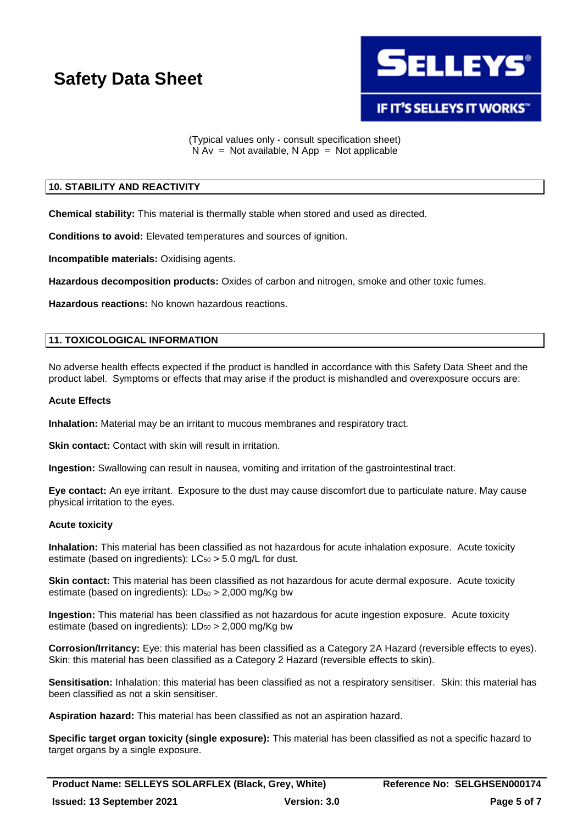

(Typical values only - consult specification sheet)  $N Av = Not available, N App = Not applicable$ 

# **10. STABILITY AND REACTIVITY**

**Chemical stability:** This material is thermally stable when stored and used as directed.

**Conditions to avoid:** Elevated temperatures and sources of ignition.

**Incompatible materials:** Oxidising agents.

**Hazardous decomposition products:** Oxides of carbon and nitrogen, smoke and other toxic fumes.

**Hazardous reactions:** No known hazardous reactions.

# **11. TOXICOLOGICAL INFORMATION**

No adverse health effects expected if the product is handled in accordance with this Safety Data Sheet and the product label. Symptoms or effects that may arise if the product is mishandled and overexposure occurs are:

### **Acute Effects**

**Inhalation:** Material may be an irritant to mucous membranes and respiratory tract.

**Skin contact:** Contact with skin will result in irritation.

**Ingestion:** Swallowing can result in nausea, vomiting and irritation of the gastrointestinal tract.

**Eye contact:** An eye irritant. Exposure to the dust may cause discomfort due to particulate nature. May cause physical irritation to the eyes.

# **Acute toxicity**

**Inhalation:** This material has been classified as not hazardous for acute inhalation exposure. Acute toxicity estimate (based on ingredients):  $LC_{50} > 5.0$  mg/L for dust.

**Skin contact:** This material has been classified as not hazardous for acute dermal exposure. Acute toxicity estimate (based on ingredients):  $LD_{50} > 2,000$  mg/Kg bw

**Ingestion:** This material has been classified as not hazardous for acute ingestion exposure. Acute toxicity estimate (based on ingredients):  $LD_{50} > 2,000$  mg/Kg bw

**Corrosion/Irritancy:** Eye: this material has been classified as a Category 2A Hazard (reversible effects to eyes). Skin: this material has been classified as a Category 2 Hazard (reversible effects to skin).

**Sensitisation:** Inhalation: this material has been classified as not a respiratory sensitiser. Skin: this material has been classified as not a skin sensitiser.

**Aspiration hazard:** This material has been classified as not an aspiration hazard.

**Specific target organ toxicity (single exposure):** This material has been classified as not a specific hazard to target organs by a single exposure.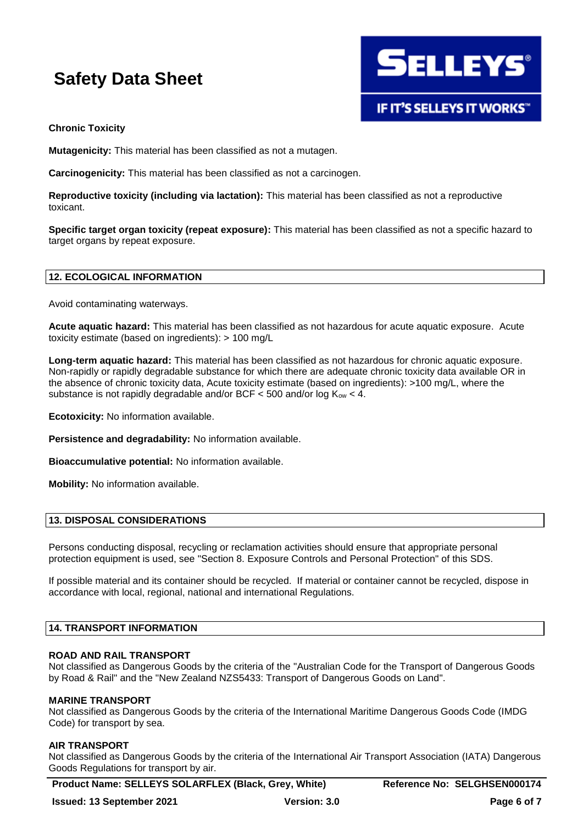

## **Chronic Toxicity**

**Mutagenicity:** This material has been classified as not a mutagen.

**Carcinogenicity:** This material has been classified as not a carcinogen.

**Reproductive toxicity (including via lactation):** This material has been classified as not a reproductive toxicant.

**Specific target organ toxicity (repeat exposure):** This material has been classified as not a specific hazard to target organs by repeat exposure.

#### **12. ECOLOGICAL INFORMATION**

Avoid contaminating waterways.

**Acute aquatic hazard:** This material has been classified as not hazardous for acute aquatic exposure. Acute toxicity estimate (based on ingredients): > 100 mg/L

**Long-term aquatic hazard:** This material has been classified as not hazardous for chronic aquatic exposure. Non-rapidly or rapidly degradable substance for which there are adequate chronic toxicity data available OR in the absence of chronic toxicity data, Acute toxicity estimate (based on ingredients): >100 mg/L, where the substance is not rapidly degradable and/or BCF < 500 and/or log  $K_{ow}$  < 4.

**Ecotoxicity:** No information available.

**Persistence and degradability:** No information available.

**Bioaccumulative potential:** No information available.

**Mobility:** No information available.

## **13. DISPOSAL CONSIDERATIONS**

Persons conducting disposal, recycling or reclamation activities should ensure that appropriate personal protection equipment is used, see "Section 8. Exposure Controls and Personal Protection" of this SDS.

If possible material and its container should be recycled. If material or container cannot be recycled, dispose in accordance with local, regional, national and international Regulations.

### **14. TRANSPORT INFORMATION**

#### **ROAD AND RAIL TRANSPORT**

Not classified as Dangerous Goods by the criteria of the "Australian Code for the Transport of Dangerous Goods by Road & Rail" and the "New Zealand NZS5433: Transport of Dangerous Goods on Land".

#### **MARINE TRANSPORT**

Not classified as Dangerous Goods by the criteria of the International Maritime Dangerous Goods Code (IMDG Code) for transport by sea.

#### **AIR TRANSPORT**

Not classified as Dangerous Goods by the criteria of the International Air Transport Association (IATA) Dangerous Goods Regulations for transport by air.